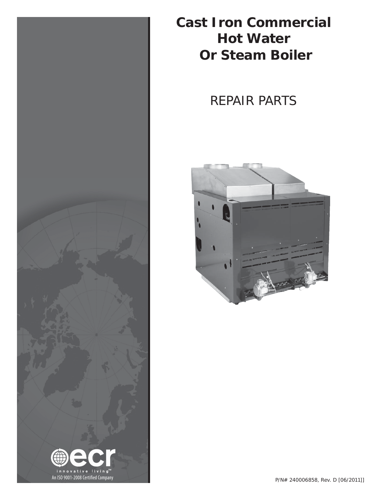

**Cast Iron Commercial Hot Water Or Steam Boiler**

# REPAIR PARTS

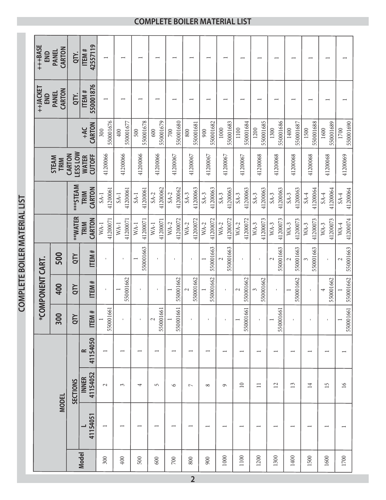|              |                          |                          |                          |                                            | *COMPONENT CART.          |                                       |                    |                    |                               |                      | ++JACKET<br>END          | +++BASE<br>END           |
|--------------|--------------------------|--------------------------|--------------------------|--------------------------------------------|---------------------------|---------------------------------------|--------------------|--------------------|-------------------------------|----------------------|--------------------------|--------------------------|
|              |                          | <b>MODEL</b>             |                          | 300                                        | 400                       | 500                                   |                    |                    | <b>STEAM</b><br>TRIM          |                      | CARTON<br><b>PANEL</b>   | CARTON<br><b>PANEL</b>   |
|              |                          | <b>SECTIONS</b>          |                          | $\succ$<br>ā                               | <b>QTY</b>                | QTY                                   | **WATER            | *** STEAM          | <b>LESS LOW</b><br>CARTON     |                      | QTY.                     | QTY.                     |
| <b>Model</b> | 41154051                 | 41154052<br><b>INNER</b> | 41154050<br>$\approx$    | $\ddot{ }$<br><b>ITEM</b>                  | ITEM#                     | ITEM#                                 | CARTON<br>TRIM     | CARTON<br>TRIM     | <b>CUTOFF</b><br><b>WATER</b> | CARTON<br><b>HAC</b> | 550001876<br>ITEM#       | 42557119<br>ITEM#        |
| 300          | $\overline{\phantom{0}}$ | $\sim$                   | $\overline{\phantom{0}}$ | 550001661<br>$\overline{\phantom{0}}$      | $\mathbf I$               | $\mathbf{I}$                          | 41200071<br>$WA-1$ | 41200061<br>$SA-1$ | 41200066                      | 550001676<br>300     | $\overline{ }$           | $\overline{\phantom{0}}$ |
| 400          | $\overline{\phantom{0}}$ | $\sim$                   | $\overline{}$            | $\mathbf I$                                | 550001662                 | $\mathbf I$                           | 41200071<br>$WA-1$ | 41200061<br>$SA-1$ | 41200066                      | 550001677<br>$400$   | $\overline{\phantom{0}}$ | $\overline{\phantom{0}}$ |
| 500          | $\overline{\phantom{0}}$ | 4                        | $\overline{\phantom{0}}$ | $\mathbf{I}$                               | $\mathbf{I}$              | 550001663                             | 41200071<br>$WA-1$ | 41200061<br>$SA-1$ | 41200066                      | 550001678<br>500     | $\overline{\phantom{0}}$ | $\overline{\phantom{a}}$ |
| 600          | $\overline{\phantom{0}}$ | 5                        | $\overline{\phantom{0}}$ | 661<br>550001<br>$\sim$                    | $\mathsf I$               | $\mathbf{I}$                          | 41200071<br>$WA-1$ | 41200062<br>$SA-2$ | 41200066                      | 550001679<br>600     | $\overline{\phantom{0}}$ | $\overline{\phantom{a}}$ |
| $700\,$      |                          | $\circ$                  | -                        | 1661<br>$\overline{\phantom{0}}$<br>550001 | 550001662                 | $\mathbf I$                           | 41200072<br>$WA-2$ | 41200062<br>$SA-2$ | 41200067                      | 550001680<br>700     | $\overline{\phantom{0}}$ | $\overline{\phantom{0}}$ |
| 800          |                          | $\overline{ }$           | -                        | $\mathbf{I}$                               | 550001662<br>2            | $\mathbf I$                           | 41200072<br>$WA-2$ | 41200063<br>$SA-3$ | 41200067                      | 550001681<br>800     | $\overline{\phantom{0}}$ | $\overline{\phantom{0}}$ |
| 900          | $\overline{\phantom{0}}$ | $\infty$                 |                          | $\mathbf I$                                | 550001662                 | 550001663<br>$\overline{\phantom{0}}$ | 41200072<br>$WA-2$ | 41200063<br>$SA-3$ | 41200067                      | 550001682<br>900     | $\overline{\phantom{0}}$ | $\overline{\phantom{0}}$ |
| 1000         |                          | $\circ$                  |                          | $\mathbf{I}$                               | $\mathbf{I}$              | 550001663<br>2                        | 41200072<br>$WA-2$ | 41200063<br>$SA-3$ | 41200067                      | 550001683<br>1000    | $\overline{\phantom{0}}$ |                          |
| 1100         | $\overline{\phantom{0}}$ | $\overline{10}$          | $\overline{\phantom{0}}$ | .661<br>550001<br>$\overline{ }$           | 550001662<br>$\mathbf{C}$ | $\mathbf{I}$                          | 41200072<br>$WA-2$ | 41200063<br>$SA-3$ | 41200067                      | 550001684<br>1100    | $\overline{\phantom{0}}$ |                          |
| 1200         |                          | $\Box$                   | $\overline{\phantom{0}}$ | $\mathbf{I}$                               | 550001662                 | $\mathbf{I}$                          | 41200073<br>$WA-3$ | 41200063<br>$SA-3$ | 41200068                      | 550001685<br>1200    | $\overline{\phantom{0}}$ |                          |
| 1300         | $\overline{\phantom{0}}$ | 12                       |                          | 661<br>550001<br>$\overline{ }$            | $\mathbf I$               | 550001663<br>$\mathbf{\sim}$          | 41200073<br>$WA-3$ | 41200063<br>$SA-3$ | 41200068                      | 550001686<br>1300    | $\overline{\phantom{0}}$ | $\overline{\phantom{0}}$ |
| 1400         | $\overline{\phantom{0}}$ | 13                       |                          | $\mathbf{I}$                               | 550001662                 | 550001663                             | 41200073<br>$WA-3$ | 41200063<br>$SA-3$ | 41200068                      | 550001687<br>1400    |                          | $\overline{\phantom{0}}$ |
| 1500         | $\overline{\phantom{0}}$ | $\overline{14}$          |                          |                                            | $\mathbf{I}$              | 550001663                             | 41200073<br>$WA-3$ | 41200064<br>$SA-4$ | 41200068                      | 550001688<br>1500    |                          | $\overline{\phantom{0}}$ |
| 1600         | $\overline{\phantom{0}}$ | 15                       |                          |                                            | 550001662                 | $\mathsf{I}$                          | 41200073<br>$WA-3$ | 41200064<br>$SA-4$ | 41200068                      | 550001689<br>1600    |                          |                          |
| 1700         |                          | $\mathfrak{I}6$          |                          | 550001661<br>$\overline{\phantom{0}}$      | 550001662                 | 550001663<br>$\mathcal{L}$            | 41200074<br>$WA-4$ | 41200064<br>$SA-4$ | 41200069                      | 550001690<br>1700    |                          |                          |

**COMPLETE BOILER MATERIAL LIST COMPLETE BOILER MATERIAL LIST**

# **COMPLETE BOILER MATERIAL LIST**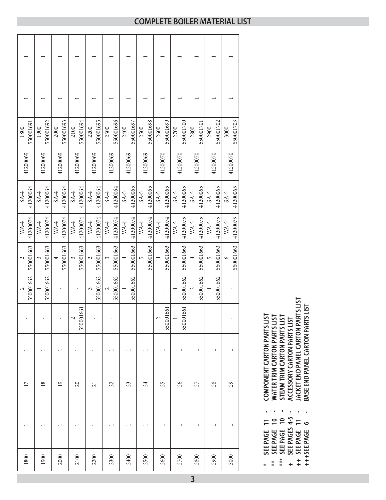| 550001691<br>1800  | 550001692<br>1900  | 550001693<br>2000  | 550001694<br>2100  | 550001695<br>2200  | 550001696<br>2300  | 550001697<br>2400  | 550001698<br>2500  | 550001699<br>2600  | 550001700<br>2700  | 550001701<br>2800  | 550001702<br>2900  | 550001703<br>3000    |
|--------------------|--------------------|--------------------|--------------------|--------------------|--------------------|--------------------|--------------------|--------------------|--------------------|--------------------|--------------------|----------------------|
| 41200069           | 41200069           | 41200069           | 41200069           | 41200069           | 41200069           | 41200069           | 41200069           | 41200070           | 41200070           | 41200070           | 41200070           | 41200070             |
| 41200064<br>$SA-4$ | 41200064<br>$SA-4$ | 41200064<br>$SA-4$ | 41200064<br>$SA-4$ | 41200064<br>$SA-4$ | 41200064<br>$SA-4$ | 41200065<br>$SA-5$ | 41200065<br>$SA-5$ | 41200065<br>$SA-5$ | 41200065<br>$SA-5$ | 41200065<br>$SA-5$ | 41200065<br>$SA-5$ | 41200065<br>$SA-5$   |
| 41200074<br>$WA-4$ | 41200074<br>$WA-4$ | 41200074<br>$WA-4$ | 41200074<br>$WA-4$ | 41200074<br>$WA-4$ | 41200074<br>$WA-4$ | 41200074<br>$WA-4$ | 41200074<br>$WA-4$ | 41200074<br>$WA-4$ | 41200075<br>$WA-5$ | 41200075<br>$WA-5$ | 41200075<br>$WA-5$ | 41200075<br>$WA-5$   |
| 550001663<br>2     | 550001663<br>3     | 550001663          | 550001663<br>3     | 550001663<br>2     | 550001663<br>3     | 550001663          | 550001663<br>5     | 550001663<br>4     | 550001663          | 550001663          | 550001663<br>5     | 550001663<br>$\circ$ |
| 550001662<br>2     | 550001662          |                    | I.                 | 550001662<br>3     | 550001662          | 550001662          |                    |                    | 550001662          | 550001662<br>2     | 550001662          |                      |
|                    |                    |                    | 550001661<br>2     |                    |                    |                    |                    | 550001661<br>2     | 550001661          |                    |                    |                      |
|                    |                    |                    |                    |                    |                    |                    |                    |                    |                    |                    |                    |                      |
| $\Box$             | $\overline{18}$    | $\overline{19}$    | $\Omega$           | 21                 | 22                 | 23                 | 24                 | 25                 | 26                 | 27                 | 28                 | 29                   |
|                    |                    |                    |                    |                    |                    |                    |                    |                    |                    |                    |                    |                      |
| 1800               | 1900               | 2000               | 2100               | 2200               | 2300               | 2400               | 2500               | 2600               | 2700               | 2800               | 2900               | 3000                 |

COMPONENT CARTON PARTS LIST **\* SEE PAGE 11 - COMPONENT CARTON PARTS LIST** ı SEE PAGE 11

 $\ast$ 

- **WATER TRIM CARTON PARTS LIST** \*\* SEE PAGE 10 -<br>\*\*\* SEE PAGE 10 -<br>\*\*\* SEE PAGES 4-5 -
- **\*\* SEE PAGE 10 WATER TRIM CARTON PARTS LIST**
- 
- **\*\*\* SEE PAGE 10 STEAM TRIM CARTON PARTS LIST**
- **+ SEE PAGES 4-5 ACCESSORY CARTON PARTS LIST** STEAM TRIM CARTON PARTS LIST<br>ACCESSORY CARTON PARTS LIST<br>JACKET END PANEL CARTON PARTS LIST<br>BASE END PANEL CARTON PARTS LIST
	- **++ SEE PAGE 11 JACKET END PANEL CARTON PARTS LIST**
		-
	- **+++SEE PAGE 6 BASE END PANEL CARTON PARTS LIS** ++ SEE PAGE 11<br>+++SEE PAGE 6

#### **COMPLETE BOILER MATERIAL LIST**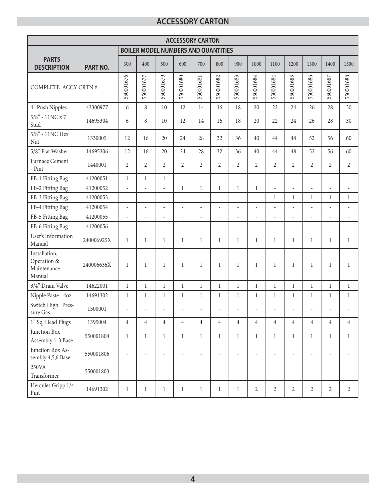### **ACCESSORY CARTON**

|                                                       |                 |                          |                          |                          |                          | <b>ACCESSORY CARTON</b>                    |                          |                          |                          |                          |                              |                          |                          |                          |
|-------------------------------------------------------|-----------------|--------------------------|--------------------------|--------------------------|--------------------------|--------------------------------------------|--------------------------|--------------------------|--------------------------|--------------------------|------------------------------|--------------------------|--------------------------|--------------------------|
|                                                       |                 |                          |                          |                          |                          | <b>BOILER MODEL NUMBERS AND QUANTITIES</b> |                          |                          |                          |                          |                              |                          |                          |                          |
| <b>PARTS</b><br><b>DESCRIPTION</b>                    | <b>PART NO.</b> | 300                      | 400                      | 500                      | 600                      | 700                                        | 800                      | 900                      | 1000                     | 1100                     | 1200                         | 1300                     | 1400                     | 1500                     |
| COMPLETE ACCY CRTN #                                  |                 | 550001676                | 550001677                | 550001679                | 550001680                | 550001681                                  | 550001682                | 550001683                | 550001684                | 550001684                | 550001685                    | 550001686                | 550001687                | 550001688                |
| 4" Push Nipples                                       | 43300977        | 6                        | 8                        | 10                       | 12                       | 14                                         | 16                       | 18                       | 20                       | 22                       | 24                           | 26                       | 28                       | 30                       |
| $5/8"$ - $11{\rm NC}$ x $7$<br>Stud                   | 14695304        | 6                        | 8                        | 10                       | 12                       | 14                                         | 16                       | 18                       | 20                       | 22                       | 24                           | 26                       | 28                       | 30                       |
| 5/8" - 11NC Hex<br>Nut                                | 1330005         | 12                       | 16                       | 20                       | 24                       | 28                                         | 32                       | 36                       | 40                       | 44                       | 48                           | 52                       | 56                       | 60                       |
| 5/8" Flat Washer                                      | 14695306        | 12                       | 16                       | 20                       | 24                       | 28                                         | 32                       | 36                       | 40                       | 44                       | 48                           | 52                       | 56                       | 60                       |
| Furnace Cement<br>- Pint                              | 1440001         | $\overline{2}$           | $\overline{2}$           | 2                        | $\overline{2}$           | $\overline{2}$                             | $\overline{2}$           | $\overline{2}$           | $\overline{2}$           | $\overline{2}$           | $\overline{2}$               | $\overline{2}$           | 2                        | $\overline{2}$           |
| FB-1 Fitting Bag                                      | 41200051        | $\mathbf{1}$             | $\mathbf{1}$             | $\mathbf{1}$             | $\overline{a}$           | L.                                         | $\overline{a}$           | $\overline{a}$           | $\overline{\phantom{a}}$ | $\overline{\phantom{a}}$ | $\overline{a}$               | $\frac{1}{2}$            | $\overline{a}$           | $\overline{a}$           |
| FB-2 Fitting Bag                                      | 41200052        | $\frac{1}{2}$            | L,                       | $\bar{\phantom{a}}$      | $\mathbf{1}$             | $\mathbf{1}$                               | $\mathbf{1}$             | $\mathbf{1}$             | $\mathbf{1}$             | $\overline{\phantom{a}}$ | ÷,                           | $\overline{a}$           | $\overline{\phantom{a}}$ | $\overline{a}$           |
| FB-3 Fitting Bag                                      | 41200053        | L,                       | L,                       | $\overline{a}$           | $\overline{a}$           | L.                                         | $\overline{a}$           | ÷,                       | L                        | 1                        | $\mathbf{1}$                 | $\mathbf{1}$             | $\mathbf{1}$             | $\mathbf{1}$             |
| FB-4 Fitting Bag                                      | 41200054        | L,                       | L,                       | $\bar{\phantom{a}}$      | $\overline{\phantom{a}}$ | L.                                         | $\overline{a}$           | L                        | L                        | $\bar{\phantom{a}}$      | $\overline{a}$               | $\overline{\phantom{a}}$ | $\frac{1}{2}$            | $\overline{a}$           |
| FB-5 Fitting Bag                                      | 41200055        | ÷,                       | J.                       |                          | $\overline{a}$           | ÷.                                         | L.                       | L,                       |                          |                          | ÷,                           | $\overline{a}$           | $\bar{\phantom{a}}$      | ä,                       |
| FB-6 Fitting Bag                                      | 41200056        | $\overline{\phantom{a}}$ | ÷,                       | $\overline{\phantom{a}}$ | $\overline{\phantom{a}}$ | $\overline{\phantom{a}}$                   | ÷,                       | $\overline{\phantom{a}}$ | L,                       | $\overline{\phantom{a}}$ | $\overline{\phantom{a}}$     | $\overline{a}$           | $\overline{\phantom{a}}$ | $\overline{\phantom{a}}$ |
| User's Information<br>Manual                          | 240006925X      | $\mathbf{1}$             | $\mathbf{1}$             | $\mathbf{1}$             | $\mathbf{1}$             | $\mathbf{1}$                               | $\mathbf{1}$             | $\mathbf{1}$             | $\mathbf{1}$             | $\mathbf{1}$             | $\mathbf{1}$                 | $\mathbf{1}$             | $\mathbf{1}$             | $\mathbf{1}$             |
| Installation,<br>Operation &<br>Maintenance<br>Manual | 240006636X      | $\mathbf{1}$             | 1                        | $\mathbf{1}$             | $\mathbf{1}$             | 1                                          | $\mathbf{1}$             | $\mathbf{1}$             | $\mathbf{1}$             | 1                        | 1                            | $\mathbf{1}$             | $\mathbf{1}$             | $\mathbf{1}$             |
| 3/4" Drain Valve                                      | 14622001        | $\mathbf{1}$             | $\mathbf{1}$             | $\mathbf{1}$             | $\mathbf{1}$             | $\mathbf{1}$                               | $\mathbf{1}$             | $\mathbf{1}$             | $\mathbf{1}$             | $\mathbf{1}$             | $\mathbf 1$                  | $\mathbf{1}$             | $\mathbf 1$              | $\mathbf{1}$             |
| Nipple Paste - 4oz.                                   | 14691302        | $\mathbf{1}$             | $\mathbf{1}$             | $\mathbf{1}$             | $\mathbf{1}$             | $\mathbf{1}$                               | $\mathbf{1}$             | $\mathbf{1}$             | $\mathbf{1}$             | $\mathbf{1}$             | $\mathbf{1}$                 | $\mathbf{1}$             | $\mathbf{1}$             | $\mathbf{1}$             |
| Switch High Pres-<br>sure Gas                         | 1500001         | $\frac{1}{2}$            | $\overline{a}$           |                          |                          |                                            |                          | ۰                        | $\overline{a}$           | $\overline{a}$           | $\qquad \qquad \blacksquare$ | $\overline{a}$           |                          | $\overline{a}$           |
| 1" Sq. Head Plugs                                     | 1395004         | $\,4\,$                  | $\overline{4}$           | $\overline{4}$           | $\overline{4}$           | $\overline{4}$                             | $\overline{4}$           | $\overline{4}$           | $\overline{4}$           | $\overline{4}$           | $\overline{4}$               | $\overline{4}$           | $\sqrt{4}$               | $\overline{4}$           |
| Junction Box<br>Assembly 1-3 Base                     | 550001804       | $\mathbf{1}$             | $\mathbf{1}$             | $\mathbf{1}$             | $\mathbf{1}$             | $\mathbf{1}$                               | $\mathbf{1}$             | $\mathbf{1}$             | $\mathbf{1}$             | $\mathbf{1}$             | $\mathbf{1}$                 | $\mathbf{1}$             | $\mathbf{1}$             | $\mathbf{1}$             |
| Junction Box As-<br>sembly 4,5,6 Base                 | 550001806       | ÷,                       | ÷,                       | $\overline{\phantom{a}}$ | $\overline{\phantom{a}}$ | $\overline{a}$                             |                          | ÷,                       | $\overline{\phantom{a}}$ | $\overline{\phantom{a}}$ | $\overline{a}$               | ÷,                       | ÷,                       | L,                       |
| 250VA<br>Transformer                                  | 550001803       | $\overline{\phantom{a}}$ | $\overline{\phantom{a}}$ | $\overline{\phantom{a}}$ | $\overline{\phantom{a}}$ | $\overline{\phantom{a}}$                   | $\overline{\phantom{a}}$ | $\overline{\phantom{0}}$ | $\overline{\phantom{a}}$ | $\overline{\phantom{a}}$ | ÷,                           | $\overline{\phantom{a}}$ | $\overline{\phantom{a}}$ | $\overline{\phantom{a}}$ |
| Hercules Gripp 1/4<br>Pint                            | 14691302        | $\mathbf{1}$             | $\mathbf{1}$             | $\mathbf{1}$             | $\mathbf{1}$             | $\mathbf 1$                                | $\mathbf{1}$             | $\mathbf{1}$             | $\overline{c}$           | $\overline{c}$           | $2\,$                        | $\overline{c}$           | $\boldsymbol{2}$         | $\overline{2}$           |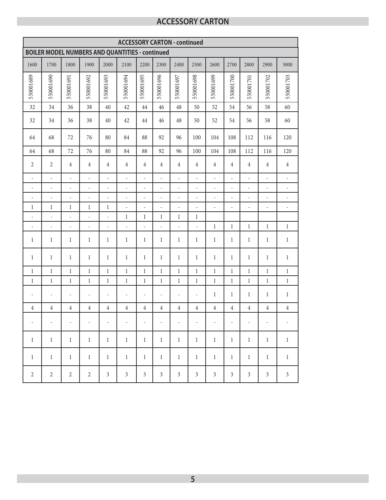## **ACCESSORY CARTON**

|                          |                                                        |                          |                          |                          | <b>ACCESSORY CARTON - continued</b> |                          |                          |                          |                |                          |                          |                          |                          |                          |
|--------------------------|--------------------------------------------------------|--------------------------|--------------------------|--------------------------|-------------------------------------|--------------------------|--------------------------|--------------------------|----------------|--------------------------|--------------------------|--------------------------|--------------------------|--------------------------|
|                          | <b>BOILER MODEL NUMBERS AND QUANTITIES - continued</b> |                          |                          |                          |                                     |                          |                          |                          |                |                          |                          |                          |                          |                          |
| 1600                     | 1700                                                   | 1800                     | 1900                     | 2000                     | 2100                                | 2200                     | 2300                     | 2400                     | 2500           | 2600                     | 2700                     | 2800                     | 2900                     | 3000                     |
| 550001689                | 550001690                                              | 550001691                | 550001692                | 550001693                | 550001694                           | 550001695                | 550001696                | 550001697                | 550001698      | 550001699                | 550001700                | 550001701                | 550001702                | 550001703                |
| 32                       | 34                                                     | 36                       | 38                       | 40                       | 42                                  | 44                       | 46                       | 48                       | 50             | 52                       | 54                       | 56                       | 58                       | 60                       |
| 32                       | 34                                                     | 36                       | 38                       | 40                       | 42                                  | 44                       | 46                       | 48                       | 50             | 52                       | 54                       | 56                       | 58                       | 60                       |
| 64                       | 68                                                     | 72                       | 76                       | 80                       | 84                                  | 88                       | 92                       | 96                       | 100            | 104                      | 108                      | 112                      | 116                      | 120                      |
| 64                       | 68                                                     | 72                       | 76                       | 80                       | 84                                  | 88                       | 92                       | 96                       | 100            | 104                      | 108                      | 112                      | 116                      | 120                      |
| $\overline{2}$           | $\overline{2}$                                         | $\overline{4}$           | $\overline{4}$           | $\overline{4}$           | $\overline{4}$                      | 4                        | $\overline{4}$           | $\overline{4}$           | $\overline{4}$ | $\overline{4}$           | $\overline{4}$           | $\overline{4}$           | $\overline{4}$           | $\overline{4}$           |
| $\overline{\phantom{a}}$ | $\frac{1}{2}$                                          | $\blacksquare$           | $\overline{\phantom{a}}$ | $\overline{\phantom{a}}$ | $\overline{\phantom{0}}$            | $\blacksquare$           | $\overline{\phantom{a}}$ | $\blacksquare$           | ÷              | $\overline{\phantom{a}}$ | $\overline{\phantom{0}}$ | $\overline{\phantom{a}}$ | $\overline{\phantom{a}}$ | $\frac{1}{2}$            |
| $\frac{1}{2}$            | $\frac{1}{2}$                                          | $\overline{\phantom{a}}$ | $\overline{\phantom{a}}$ | $\frac{1}{2}$            | $\frac{1}{2}$                       | $\overline{\phantom{a}}$ | $\overline{\phantom{a}}$ | ÷,                       | $\frac{1}{2}$  | $\overline{\phantom{a}}$ | $\overline{a}$           | $\overline{\phantom{a}}$ | $\frac{1}{2}$            | ÷,                       |
| $\overline{\phantom{a}}$ | $\overline{\phantom{a}}$                               | $\bar{\phantom{a}}$      | $\overline{\phantom{a}}$ | $\overline{\phantom{a}}$ | $\overline{\phantom{a}}$            | $\overline{\phantom{a}}$ | $\overline{\phantom{a}}$ | $\overline{\phantom{a}}$ | $\overline{a}$ | $\overline{\phantom{a}}$ | $\overline{\phantom{a}}$ | $\overline{\phantom{a}}$ | $\frac{1}{2}$            | $\blacksquare$           |
| $\mathbf{1}$             | $\mathbf 1$                                            | $\mathbf{1}$             | $\mathbf{1}$             | $\mathbf{1}$             | ÷,                                  | ÷,                       | $\overline{\phantom{a}}$ | $\overline{\phantom{a}}$ | ä,             | $\overline{\phantom{m}}$ | $\overline{\phantom{a}}$ | ÷,                       | ÷,                       | $\overline{\phantom{a}}$ |
| $\overline{a}$           | $\overline{\phantom{a}}$                               | $\overline{\phantom{a}}$ | $\overline{\phantom{a}}$ | $\frac{1}{2}$            | $\mathbf{1}$                        | $\mathbf{1}$             | $\mathbf{1}$             | $\mathbf{1}$             | $\mathbf{1}$   |                          |                          |                          |                          |                          |
| ÷,                       | $\overline{\phantom{m}}$                               | $\overline{\phantom{a}}$ | $\overline{\phantom{m}}$ | ÷,                       | $\overline{\phantom{m}}$            | $\overline{\phantom{a}}$ | $\overline{\phantom{m}}$ | $\overline{\phantom{a}}$ | $\overline{a}$ | $\mathbf 1$              | $\mathbf{1}$             | $\,1$                    | $\mathbf 1$              | $\,1$                    |
| $\mathbf{1}$             | 1                                                      | 1                        | $\mathbf{1}$             | 1                        | $\mathbf{1}$                        | 1                        | $\mathbf{1}$             | $\mathbf{1}$             | 1              | $\mathbf{1}$             | $\mathbf{1}$             | $\mathbf{1}$             | 1                        | $\mathbf{1}$             |
| 1                        | 1                                                      | 1                        | 1                        | $\mathbf{1}$             | 1                                   | $\mathbf{1}$             | $\mathbf{1}$             | 1                        | $\mathbf{1}$   | 1                        | $\mathbf{1}$             | $\mathbf{1}$             | 1                        | $\mathbf{1}$             |
| $\mathbf{1}$             | $\mathbf{1}$                                           | $\mathbf{1}$             | $\mathbf{1}$             | $\mathbf{1}$             | $\mathbf{1}$                        | $\,1$                    | $\mathbf{1}$             | $\mathbf{1}$             | $\mathbf{1}$   | $\mathbf{1}$             | $\mathbf{1}$             | $\mathbf{1}$             | $\mathbf 1$              | $\,1$                    |
| $\mathbf{1}$             | $\mathbf{1}$                                           | $\mathbf{1}$             | $\mathbf 1$              | $\mathbf{1}$             | $\mathbf{1}$                        | $\mathbf{1}$             | $\mathbf{1}$             | $\mathbf{1}$             | $\mathbf{1}$   | $\mathbf 1$              | $\mathbf{1}$             | $\mathbf{1}$             | $\mathbf 1$              | $\mathbf{1}$             |
| $\overline{a}$           | $\overline{a}$                                         | $\overline{a}$           | $\overline{\phantom{a}}$ | $\overline{\phantom{a}}$ | $\overline{a}$                      | ÷,                       | $\overline{\phantom{a}}$ | $\overline{a}$           | ä,             | $\mathbf{1}$             | $\mathbf{1}$             | $\mathbf{1}$             | $\mathbf{1}$             | $\,1$                    |
| $\overline{4}$           | $\sqrt{4}$                                             | $\overline{4}$           | $\,4$                    | $\sqrt{4}$               | $\,4\,$                             | $\sqrt{4}$               | $\sqrt{4}$               | $\,4\,$                  | $\sqrt{4}$     | $\overline{4}$           | $\overline{4}$           | $\,4\,$                  | $\overline{4}$           | $\,4\,$                  |
| $\overline{\phantom{0}}$ | ÷,                                                     | ÷,                       | $\overline{\phantom{a}}$ | $\overline{\phantom{a}}$ | $\overline{\phantom{a}}$            | ÷                        | $\blacksquare$           | $\overline{\phantom{a}}$ | ÷,             | $\overline{\phantom{a}}$ | $\overline{\phantom{a}}$ | $\overline{\phantom{a}}$ | $\overline{\phantom{a}}$ | $\overline{\phantom{a}}$ |
| $\mathbf{1}$             | $\mathbf{1}$                                           | $\mathbf{1}$             | $\mathbf{1}$             | $\mathbf{1}$             | $\mathbf{1}$                        | $\mathbf{1}$             | $\mathbf{1}$             | $\mathbf{1}$             | $\mathbf{1}$   | $\mathbf{1}$             | $\mathbf{1}$             | $\mathbf{1}$             | $\mathbf{1}$             | $\,1$                    |
| $\mathbf{1}$             | $\mathbf{1}$                                           | $\mathbf{1}$             | $\mathbf{1}$             | $\mathbf{1}$             | $\mathbf{1}$                        | $\mathbf{1}$             | $\mathbf{1}$             | $\mathbf{1}$             | $\mathbf{1}$   | $\mathbf{1}$             | $\mathbf{1}$             | $\mathbf{1}$             | $\mathbf{1}$             | $\mathbf{1}$             |
| $2\,$                    | $\overline{2}$                                         | $\sqrt{2}$               | $\overline{2}$           | $\mathfrak{Z}$           | $\mathfrak{Z}$                      | $\mathfrak{Z}$           | $\mathfrak{Z}$           | $\mathfrak{Z}$           | $\mathfrak{Z}$ | $\mathfrak{Z}$           | $\mathfrak{Z}$           | $\mathfrak{Z}$           | $\mathfrak{Z}$           | $\mathfrak{Z}$           |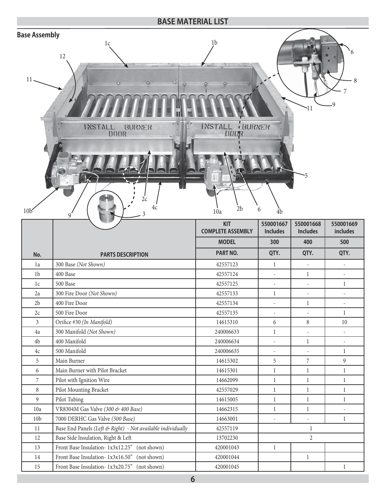#### **BASE MATERIAL LIST Base Assembly** $1c$   $1b$ 6 12 11 8 7 9 11 INSTALL **BURNER** INSTALL BURNER DOOR поок 5  $2c$ 4c  $\frac{4c}{3}$   $\frac{10a}{2b}$  6  $\frac{1}{4b}$  $10b$   $9$   $10a$ **550001667 550001668 550001669 KIT includes COMPLETE ASSEMBLY Includes Includes MODEL 300 400 500 PART NO. QTY. QTY. QTY. No. PARTS DESCRIPTION** 1a 300 Base *(Not Shown)* 42557123 1 - - 1b  $|400\text{ Base}$  1 1c  $\begin{vmatrix} 500 \text{ Base} \end{vmatrix}$  1  $\begin{vmatrix} 42557125 \end{vmatrix}$  -  $\begin{vmatrix} -1 \end{vmatrix}$  -  $\begin{vmatrix} 1 \end{vmatrix}$ 2a 300 Fire Door *(Not Shown)* 42557133 1 - - 2b 400 Fire Door 42557134 - 1 - 2c 500 Fire Door 42557135 - - 1 3 Orifice #30 *(In Manifold)* 14615310 6 8 10 4a 300 Manifold *(Not Shown)* 240006633 1 - - 4b 400 Manifold 240006634 - 1 - 4c 500 Manifold 240006635 - - 1 5 Main Burner 14615302 5 7 9 6 Main Burner with Pilot Bracket 14615301 1 1 1 7 Pilot with Ignition Wire 14662099 1 1 1 8 Pilot Mounting Bracket 1 1 42557029 1 1 1 1 1 9 Pilot Tubing 14615005 1 1 1 10a | VR8304M Gas Valve (300 & 400 Base) 14662315 1 1 1 1 1 1 - 1 10b 7000 DERHC Gas Valve *(500 Base)* 14663001 - 14663001 1 11 Base End Panels *(Left & Right)* - Not available individually 1 42557119 1 12 Base Side Insulation, Right & Left 13702230 2 13 Front Base Insulation- 1x3x12.25'' (not shown) 420001043 1 14 Front Base Insulation- 1x3x16.50'' (not shown) 420001044 1

15 Front Base Insulation- 1x3x20.75'' (not shown) 420001045 1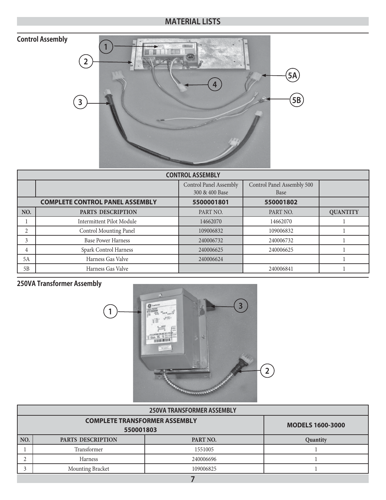# **Control Assembly**



|     |                                        | <b>CONTROL ASSEMBLY</b>       |                            |                 |
|-----|----------------------------------------|-------------------------------|----------------------------|-----------------|
|     |                                        | <b>Control Panel Assembly</b> | Control Panel Assembly 500 |                 |
|     |                                        | 300 & 400 Base                | Base                       |                 |
|     | <b>COMPLETE CONTROL PANEL ASSEMBLY</b> | 5500001801                    | 550001802                  |                 |
| NO. | <b>PARTS DESCRIPTION</b>               | PART NO.                      | PART NO.                   | <b>QUANTITY</b> |
|     | <b>Intermittent Pilot Module</b>       | 14662070                      | 14662070                   |                 |
| 2   | Control Mounting Panel                 | 109006832                     | 109006832                  |                 |
| 3   | <b>Base Power Harness</b>              | 240006732                     | 240006732                  |                 |
| 4   | Spark Control Harness                  | 240006625                     | 240006625                  |                 |
| 5A  | Harness Gas Valve                      | 240006624                     |                            |                 |
| 5B  | Harness Gas Valve                      |                               | 240006841                  |                 |

# **250VA Transformer Assembly**



|     |                                      | <b>250VA TRANSFORMER ASSEMBLY</b> |                         |
|-----|--------------------------------------|-----------------------------------|-------------------------|
|     | <b>COMPLETE TRANSFORMER ASSEMBLY</b> |                                   | <b>MODELS 1600-3000</b> |
|     | 550001803                            |                                   |                         |
| NO. | PARTS DESCRIPTION                    | PART NO.                          | Quantity                |
|     | Transformer                          | 1551005                           |                         |
|     | Harness                              | 240006696                         |                         |
|     | Mounting Bracket                     | 109006825                         |                         |
|     |                                      | -                                 |                         |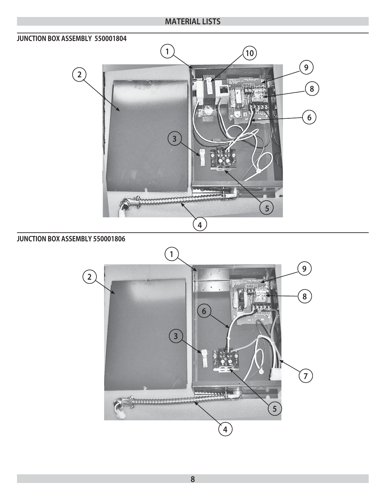#### **JUNCTION BOX ASSEMBLY 550001804**



#### **JUNCTION BOX ASSEMBLY 550001806**

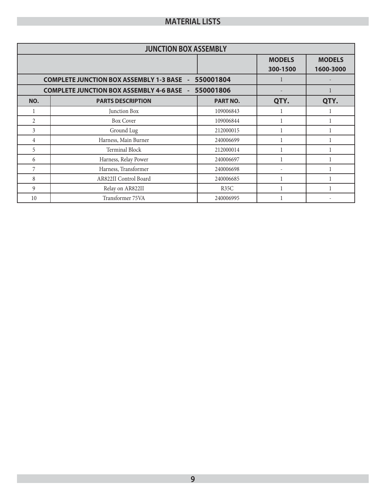|                | <b>JUNCTION BOX ASSEMBLY</b>                               |                 |                           |                            |
|----------------|------------------------------------------------------------|-----------------|---------------------------|----------------------------|
|                |                                                            |                 | <b>MODELS</b><br>300-1500 | <b>MODELS</b><br>1600-3000 |
|                | <b>COMPLETE JUNCTION BOX ASSEMBLY 1-3 BASE -</b>           | 550001804       |                           |                            |
|                | <b>COMPLETE JUNCTION BOX ASSEMBLY 4-6 BASE - 550001806</b> |                 |                           |                            |
| NO.            | <b>PARTS DESCRIPTION</b>                                   | <b>PART NO.</b> | QTY.                      | QTY.                       |
|                | Junction Box                                               | 109006843       |                           |                            |
| $\mathfrak{D}$ | <b>Box Cover</b>                                           | 109006844       |                           |                            |
| 3              | Ground Lug                                                 | 212000015       |                           |                            |
| 4              | Harness, Main Burner                                       | 240006699       |                           |                            |
| 5              | Terminal Block                                             | 212000014       | 1                         |                            |
| 6              | Harness, Relay Power                                       | 240006697       |                           |                            |
| 7              | Harness, Transformer                                       | 240006698       |                           |                            |
| 8              | AR822II Control Board                                      | 240006685       |                           |                            |
| 9              | Relay on AR822II                                           | R35C            |                           |                            |
| 10             | Transformer 75VA                                           | 240006995       |                           |                            |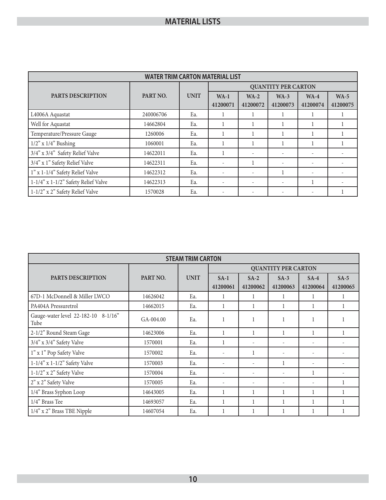|                                     | <b>WATER TRIM CARTON MATERIAL LIST</b> |             |                          |                          |                            |                    |                    |
|-------------------------------------|----------------------------------------|-------------|--------------------------|--------------------------|----------------------------|--------------------|--------------------|
|                                     |                                        |             |                          |                          | <b>QUANTITY PER CARTON</b> |                    |                    |
| <b>PARTS DESCRIPTION</b>            | PART NO.                               | <b>UNIT</b> | $WA-1$<br>41200071       | $WA-2$<br>41200072       | $WA-3$<br>41200073         | $WA-4$<br>41200074 | $WA-5$<br>41200075 |
| L4006A Aquastat                     | 240006706                              | Ea.         | 1                        |                          |                            |                    |                    |
| Well for Aquastat                   | 14662804                               | Ea.         |                          |                          |                            |                    |                    |
| Temperature/Pressure Gauge          | 1260006                                | Ea.         | 1                        |                          |                            |                    |                    |
| $1/2$ " x $1/4$ " Bushing           | 1060001                                | Ea.         |                          |                          |                            |                    |                    |
| 3/4" x 3/4" Safety Relief Valve     | 14622011                               | Ea.         |                          |                          |                            |                    |                    |
| 3/4" x 1" Safety Relief Valve       | 14622311                               | Ea.         |                          |                          |                            |                    |                    |
| 1" x 1-1/4" Safety Relief Valve     | 14622312                               | Ea.         | $\overline{\phantom{a}}$ |                          |                            | ٠                  |                    |
| 1-1/4" x 1-1/2" Safety Relief Valve | 14622313                               | Ea.         | ۰                        | $\overline{\phantom{a}}$ |                            |                    |                    |
| 1-1/2" x 2" Safety Relief Valve     | 1570028                                | Ea.         | $\overline{\phantom{a}}$ |                          |                            |                    |                    |

|                                             |           | <b>STEAM TRIM CARTON</b> |                    |                          |                            |                    |                    |
|---------------------------------------------|-----------|--------------------------|--------------------|--------------------------|----------------------------|--------------------|--------------------|
|                                             |           |                          |                    |                          | <b>QUANTITY PER CARTON</b> |                    |                    |
| <b>PARTS DESCRIPTION</b>                    | PART NO.  | <b>UNIT</b>              | $SA-1$<br>41200061 | $SA-2$<br>41200062       | $SA-3$<br>41200063         | $SA-4$<br>41200064 | $SA-5$<br>41200065 |
| 67D-1 McDonnell & Miller LWCO               | 14626042  | Ea.                      |                    |                          |                            |                    |                    |
| PA404A Pressuretrol                         | 14662015  | Ea.                      |                    |                          |                            |                    |                    |
| Gauge-water level 22-182-10 8-1/16"<br>Tube | GA-004.00 | Ea.                      |                    |                          |                            |                    |                    |
| 2-1/2" Round Steam Gage                     | 14623006  | Ea.                      |                    |                          | $\mathbf{1}$               |                    |                    |
| 3/4" x 3/4" Safety Valve                    | 1570001   | Ea.                      | 1                  | ٠                        | ٠                          | ٠                  |                    |
| 1" x 1" Pop Safety Valve                    | 1570002   | Ea.                      | ۰                  | 1                        | ٠                          | ٠                  |                    |
| $1-1/4$ " x $1-1/2$ " Safety Valve          | 1570003   | Ea.                      | ۰                  | ÷                        |                            | ٠                  |                    |
| $1-1/2$ " x 2" Safety Valve                 | 1570004   | Ea.                      | ۰                  | ٠                        | ۰                          | 1                  |                    |
| 2" x 2" Safety Valve                        | 1570005   | Ea.                      | ۰                  | $\overline{\phantom{a}}$ |                            | ٠                  | 1                  |
| 1/4" Brass Syphon Loop                      | 14643005  | Ea.                      |                    |                          |                            |                    |                    |
| 1/4" Brass Tee                              | 14693057  | Ea.                      |                    |                          |                            |                    |                    |
| 1/4" x 2" Brass TBE Nipple                  | 14607054  | Ea.                      |                    |                          |                            |                    |                    |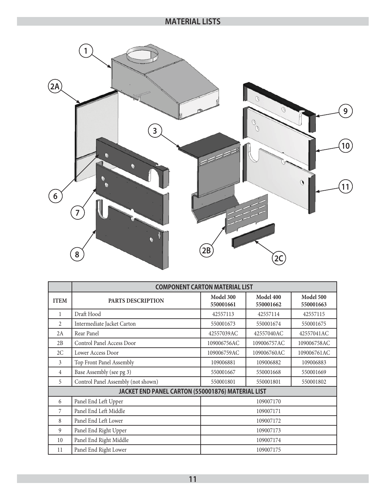

|             |                                                   | <b>COMPONENT CARTON MATERIAL LIST</b> |                        |                        |
|-------------|---------------------------------------------------|---------------------------------------|------------------------|------------------------|
| <b>ITEM</b> | PARTS DESCRIPTION                                 | Model 300<br>550001661                | Model 400<br>550001662 | Model 500<br>550001663 |
| 1           | Draft Hood                                        | 42557113                              | 42557114               | 42557115               |
| 2           | Intermediate Jacket Carton                        | 550001673                             | 550001674              | 550001675              |
| 2A          | Rear Panel                                        | 42557039AC                            | 42557040AC             | 42557041AC             |
| 2B          | Control Panel Access Door                         | 109006756AC                           | 109006757AC            | 109006758AC            |
| 2C          | Lower Access Door                                 | 109006759AC                           | 109006760AC            | 109006761AC            |
| 3           | Top Front Panel Assembly                          | 109006881                             | 109006882              | 109006883              |
| 4           | Base Assembly (see pg 3)                          | 550001667                             | 550001668              | 550001669              |
| 5           | Control Panel Assembly (not shown)                | 550001801                             | 550001801              | 550001802              |
|             | JACKET END PANEL CARTON (550001876) MATERIAL LIST |                                       |                        |                        |
| 6           | Panel End Left Upper                              |                                       | 109007170              |                        |
| 7           | Panel End Left Middle                             |                                       | 109007171              |                        |
| 8           | Panel End Left Lower                              |                                       | 109007172              |                        |
| 9           | Panel End Right Upper                             |                                       | 109007173              |                        |
| 10          | Panel End Right Middle                            |                                       | 109007174              |                        |
| 11          | Panel End Right Lower                             |                                       | 109007175              |                        |